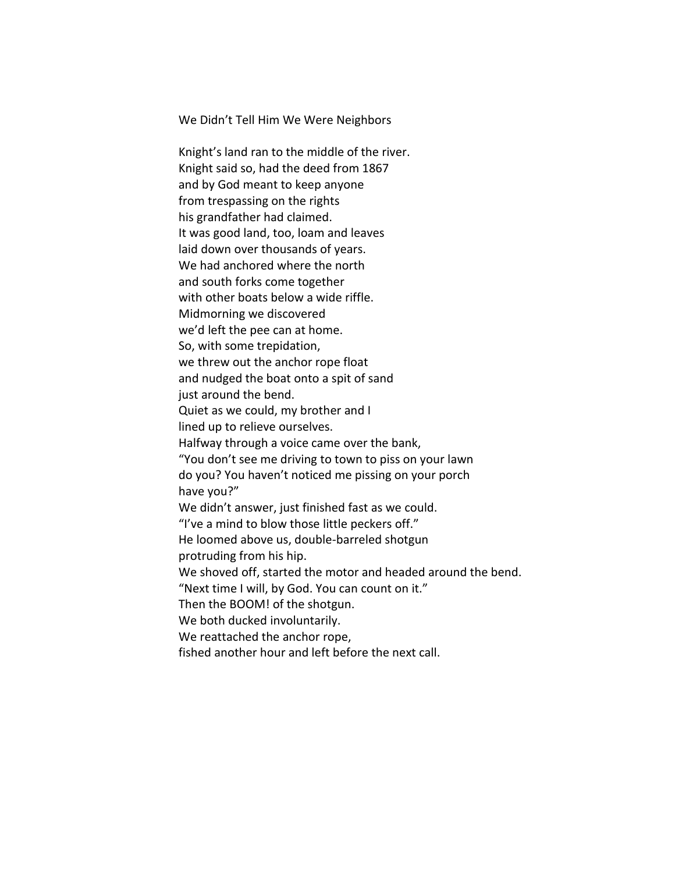We Didn't Tell Him We Were Neighbors

Knight's land ran to the middle of the river. Knight said so, had the deed from 1867 and by God meant to keep anyone from trespassing on the rights his grandfather had claimed. It was good land, too, loam and leaves laid down over thousands of years. We had anchored where the north and south forks come together with other boats below a wide riffle. Midmorning we discovered we'd left the pee can at home. So, with some trepidation, we threw out the anchor rope float and nudged the boat onto a spit of sand just around the bend. Quiet as we could, my brother and I lined up to relieve ourselves. Halfway through a voice came over the bank, "You don't see me driving to town to piss on your lawn do you? You haven't noticed me pissing on your porch have you?" We didn't answer, just finished fast as we could. "I've a mind to blow those little peckers off." He loomed above us, double-barreled shotgun protruding from his hip. We shoved off, started the motor and headed around the bend. "Next time I will, by God. You can count on it." Then the BOOM! of the shotgun. We both ducked involuntarily. We reattached the anchor rope, fished another hour and left before the next call.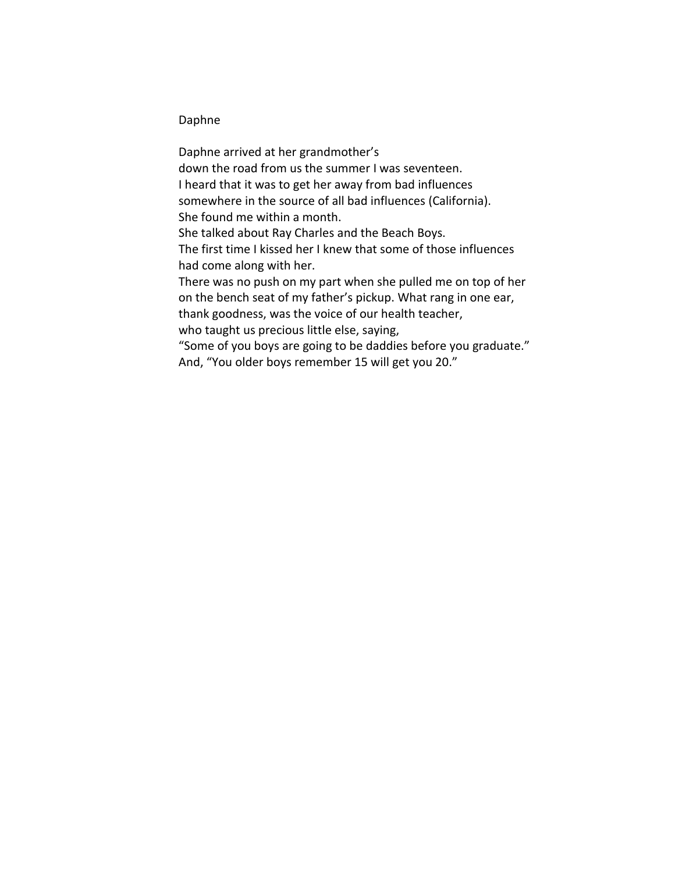## Daphne

Daphne arrived at her grandmother's down the road from us the summer I was seventeen. I heard that it was to get her away from bad influences somewhere in the source of all bad influences (California). She found me within a month. She talked about Ray Charles and the Beach Boys. The first time I kissed her I knew that some of those influences had come along with her. There was no push on my part when she pulled me on top of her on the bench seat of my father's pickup. What rang in one ear, thank goodness, was the voice of our health teacher, who taught us precious little else, saying, "Some of you boys are going to be daddies before you graduate." And, "You older boys remember 15 will get you 20."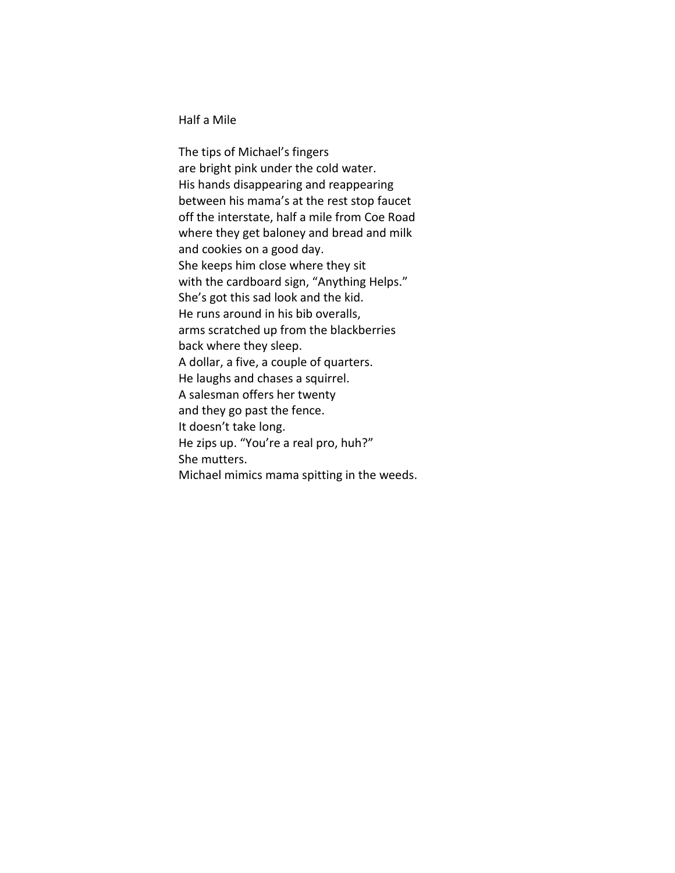Half a Mile

The tips of Michael's fingers are bright pink under the cold water. His hands disappearing and reappearing between his mama's at the rest stop faucet off the interstate, half a mile from Coe Road where they get baloney and bread and milk and cookies on a good day. She keeps him close where they sit with the cardboard sign, "Anything Helps." She's got this sad look and the kid. He runs around in his bib overalls, arms scratched up from the blackberries back where they sleep. A dollar, a five, a couple of quarters. He laughs and chases a squirrel. A salesman offers her twenty and they go past the fence. It doesn't take long. He zips up. "You're a real pro, huh?" She mutters. Michael mimics mama spitting in the weeds.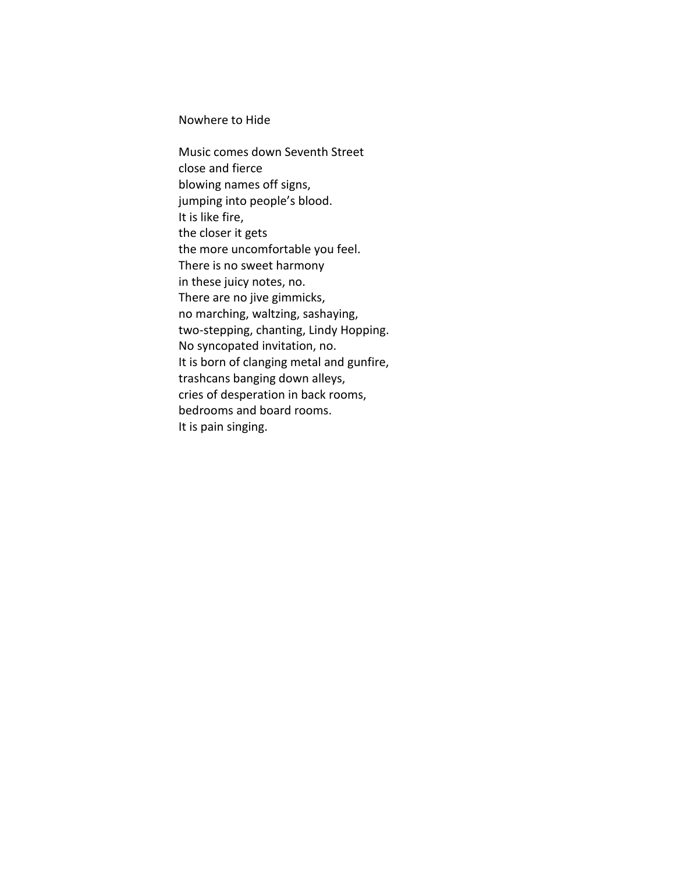Nowhere to Hide

Music comes down Seventh Street close and fierce blowing names off signs, jumping into people's blood. It is like fire, the closer it gets the more uncomfortable you feel. There is no sweet harmony in these juicy notes, no. There are no jive gimmicks, no marching, waltzing, sashaying, two-stepping, chanting, Lindy Hopping. No syncopated invitation, no. It is born of clanging metal and gunfire, trashcans banging down alleys, cries of desperation in back rooms, bedrooms and board rooms. It is pain singing.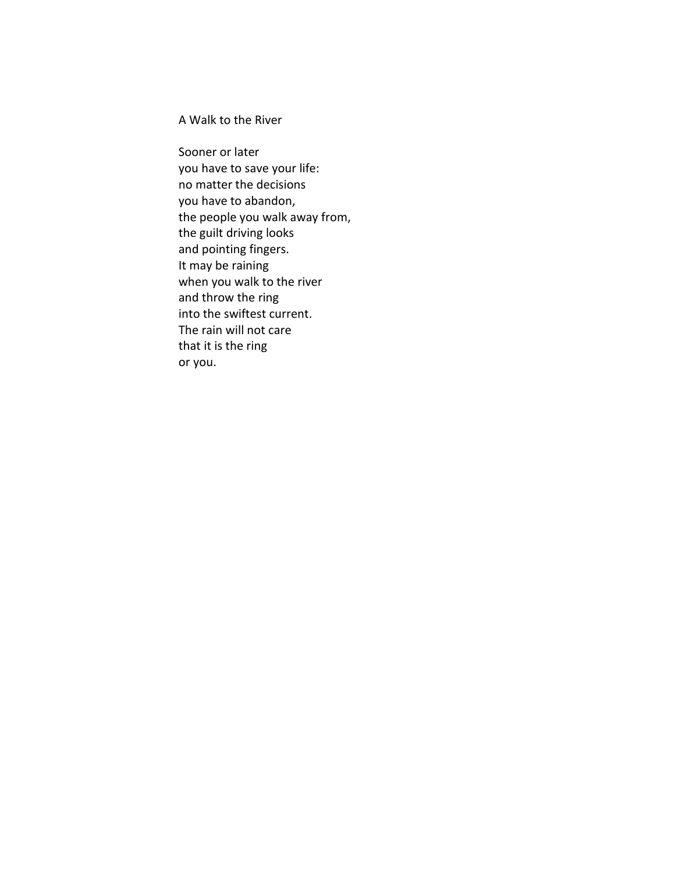A Walk to the River

Sooner or later you have to save your life: no matter the decisions you have to abandon, the people you walk away from, the guilt driving looks and pointing fingers. It may be raining when you walk to the river and throw the ring into the swiftest current. The rain will not care that it is the ring or you.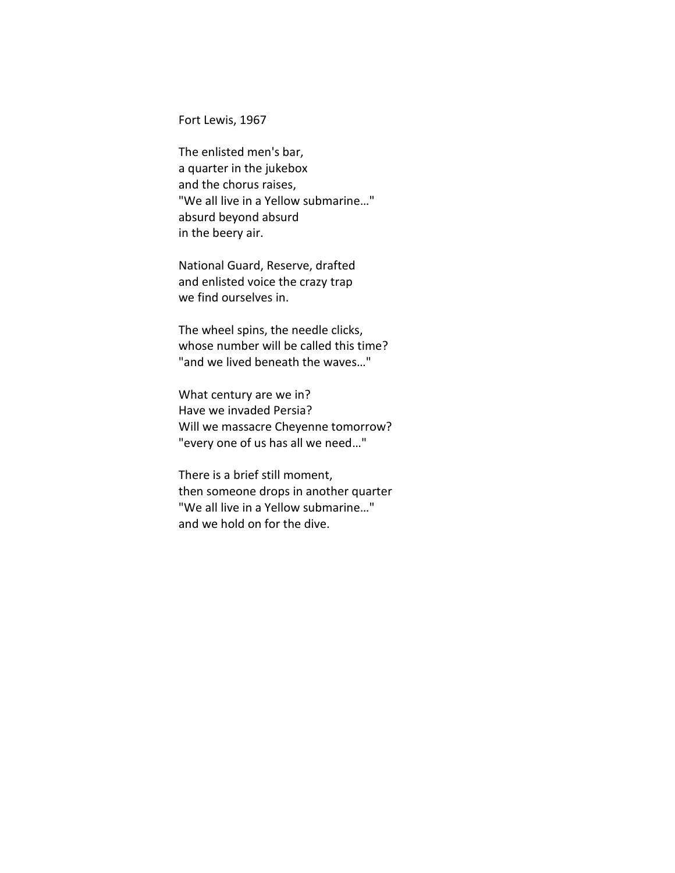Fort Lewis, 1967

The enlisted men's bar, a quarter in the jukebox and the chorus raises, "We all live in a Yellow submarine…" absurd beyond absurd in the beery air.

National Guard, Reserve, drafted and enlisted voice the crazy trap we find ourselves in.

The wheel spins, the needle clicks, whose number will be called this time? "and we lived beneath the waves…"

What century are we in? Have we invaded Persia? Will we massacre Cheyenne tomorrow? "every one of us has all we need…"

There is a brief still moment, then someone drops in another quarter "We all live in a Yellow submarine…" and we hold on for the dive.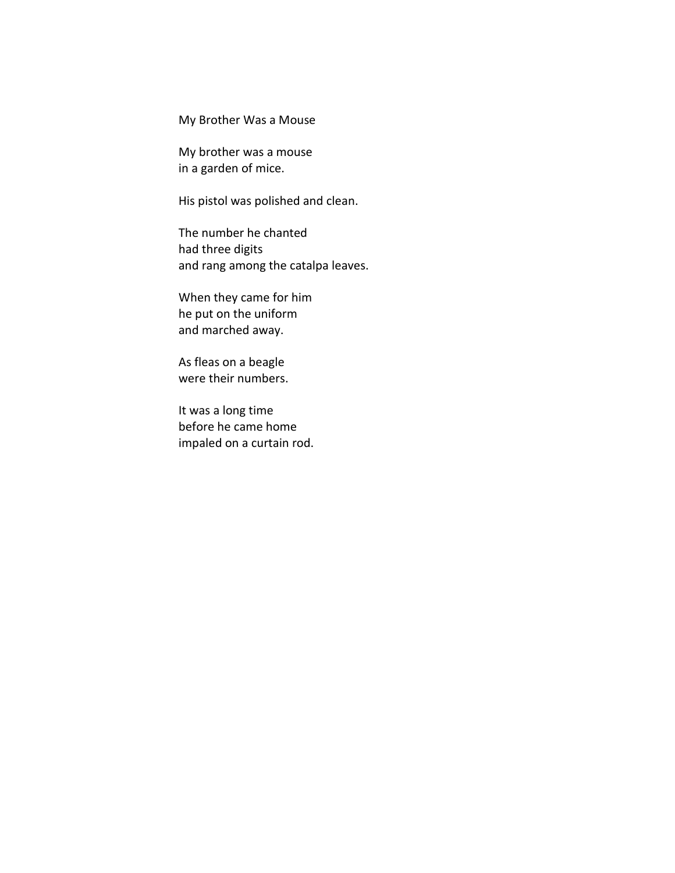My Brother Was a Mouse

My brother was a mouse in a garden of mice.

His pistol was polished and clean.

The number he chanted had three digits and rang among the catalpa leaves.

When they came for him he put on the uniform and marched away.

As fleas on a beagle were their numbers.

It was a long time before he came home impaled on a curtain rod.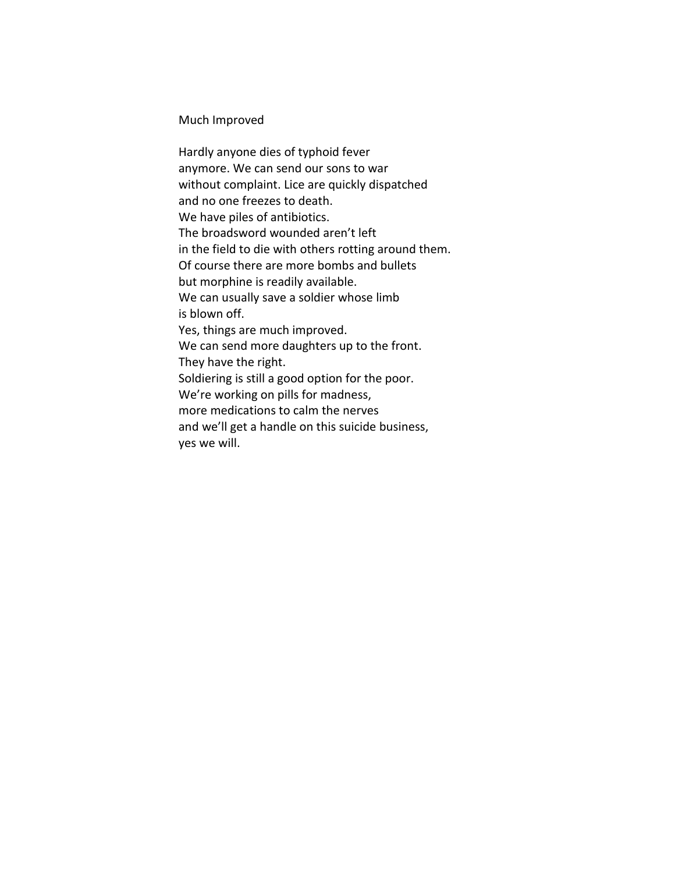Much Improved

Hardly anyone dies of typhoid fever anymore. We can send our sons to war without complaint. Lice are quickly dispatched and no one freezes to death. We have piles of antibiotics. The broadsword wounded aren't left in the field to die with others rotting around them. Of course there are more bombs and bullets but morphine is readily available. We can usually save a soldier whose limb is blown off. Yes, things are much improved. We can send more daughters up to the front. They have the right. Soldiering is still a good option for the poor. We're working on pills for madness, more medications to calm the nerves and we'll get a handle on this suicide business, yes we will.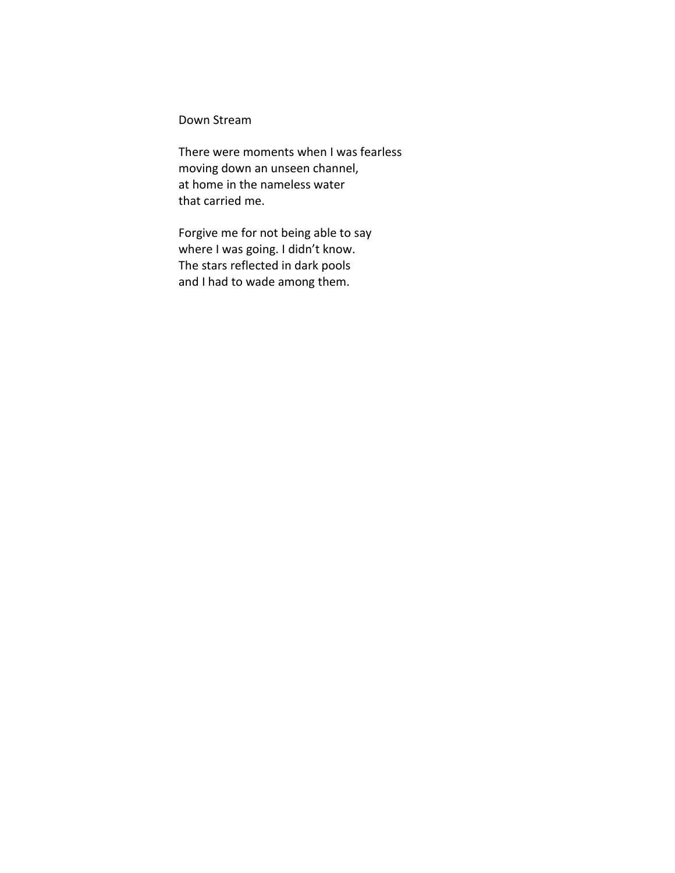Down Stream

There were moments when I was fearless moving down an unseen channel, at home in the nameless water that carried me.

Forgive me for not being able to say where I was going. I didn't know. The stars reflected in dark pools and I had to wade among them.